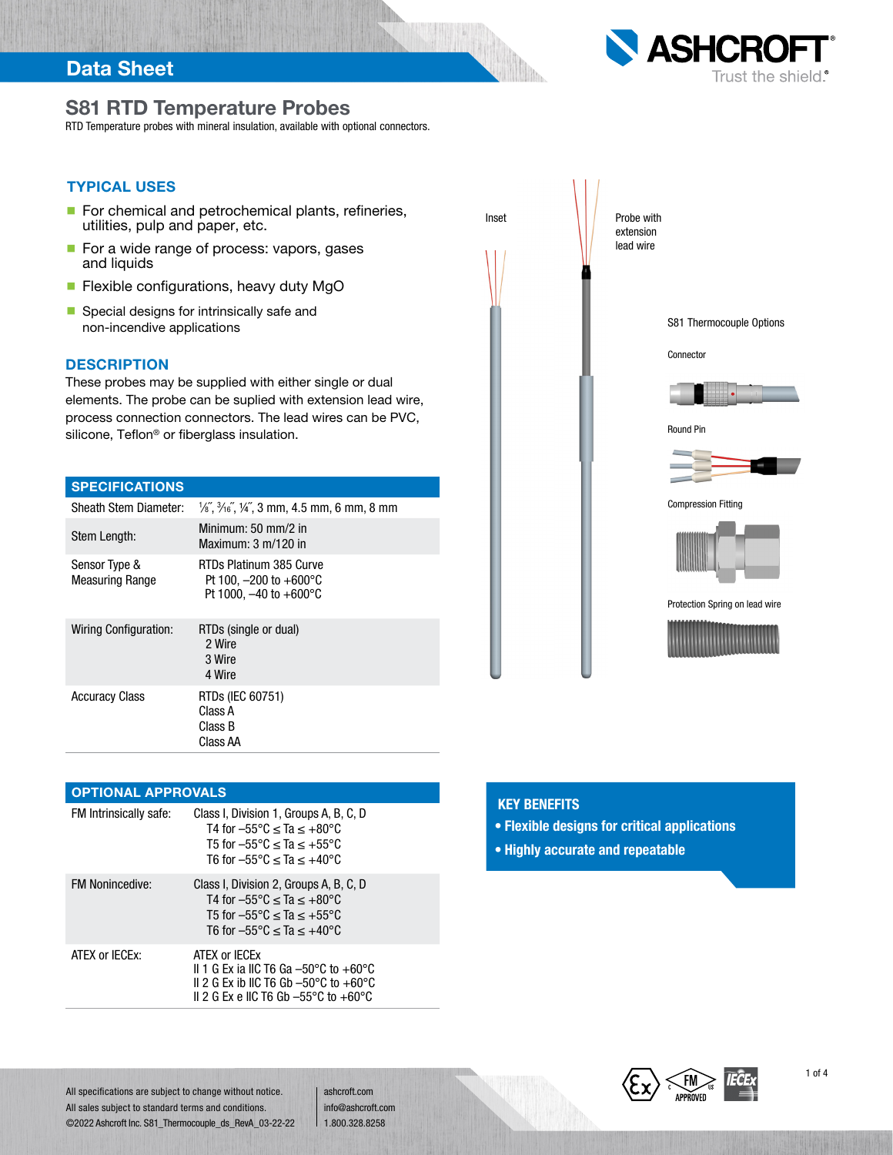## Data Sheet

## S81 RTD Temperature Probes

RTD Temperature probes with mineral insulation, available with optional connectors.

## TYPICAL USES

- For chemical and petrochemical plants, refineries, utilities, pulp and paper, etc.
- For a wide range of process: vapors, gases and liquids
- **Flexible configurations, heavy duty MgO**
- $\blacksquare$  Special designs for intrinsically safe and

#### **DESCRIPTION**

These probes may be supplied with either single or dual elements. The probe can be suplied with extension lead wire, process connection connectors. The lead wires can be PVC, silicone, Teflon<sup>®</sup> or fiberglass insulation.

### **SPECIFICATIONS**

| Sheath Stem Diameter:                   | $\frac{1}{6}$ , $\frac{3}{16}$ , $\frac{1}{4}$ , $\frac{2}{3}$ mm, 4.5 mm, 6 mm, 8 mm               |
|-----------------------------------------|-----------------------------------------------------------------------------------------------------|
| Stem Length:                            | Minimum: $50 \text{ mm}/2$ in<br>Maximum: $3 \text{ m}/120$ in                                      |
| Sensor Type &<br><b>Measuring Range</b> | RTDs Platinum 385 Curve<br>Pt 100, $-200$ to $+600^{\circ}$ C<br>Pt 1000, $-40$ to $+600^{\circ}$ C |
| Wiring Configuration:                   | RTDs (single or dual)<br>2 Wire<br>3 Wire<br>4 Wire                                                 |
| <b>Accuracy Class</b>                   | RTDs (IEC 60751)<br>Class A<br>Class B<br>Class AA                                                  |

#### OPTIONAL APPROVALS

| FM Intrinsically safe: | Class I, Division 1, Groups A, B, C, D<br>T4 for $-55^{\circ}$ C < Ta < $+80^{\circ}$ C<br>T5 for $-55^{\circ}$ C < Ta < $+55^{\circ}$ C<br>T6 for $-55^{\circ}$ C < Ta < $+40^{\circ}$ C |
|------------------------|-------------------------------------------------------------------------------------------------------------------------------------------------------------------------------------------|
| <b>FM Nonincedive:</b> | Class I, Division 2, Groups A, B, C, D<br>T4 for $-55^{\circ}$ C < Ta < $+80^{\circ}$ C<br>T5 for $-55^{\circ}$ C < Ta < $+55^{\circ}$ C<br>T6 for $-55^{\circ}$ C < Ta < $+40^{\circ}$ C |
| ATFX or IFCFx:         | ATEX or IECEX<br>II 1 G Ex ia IIC T6 Ga -50°C to +60°C<br>II 2 G Ex ib IIC T6 Gb $-50^{\circ}$ C to $+60^{\circ}$ C<br>$\parallel$ 2 G Ex e IIC T6 Gb $-55^{\circ}$ C to $+60^{\circ}$ C  |



**ASHCRO** 

Trust the shield.<sup>®</sup>

## KEY BENEFITS

- Flexible designs for critical applications
- Highly accurate and repeatable



#### 1 of 4

All specifications are subject to change without notice. All sales subject to standard terms and conditions. ©2022 Ashcroft Inc. S81\_Thermocouple\_ds\_RevA\_03-22-22

ashcroft.com info@ashcroft.com 1.800.328.8258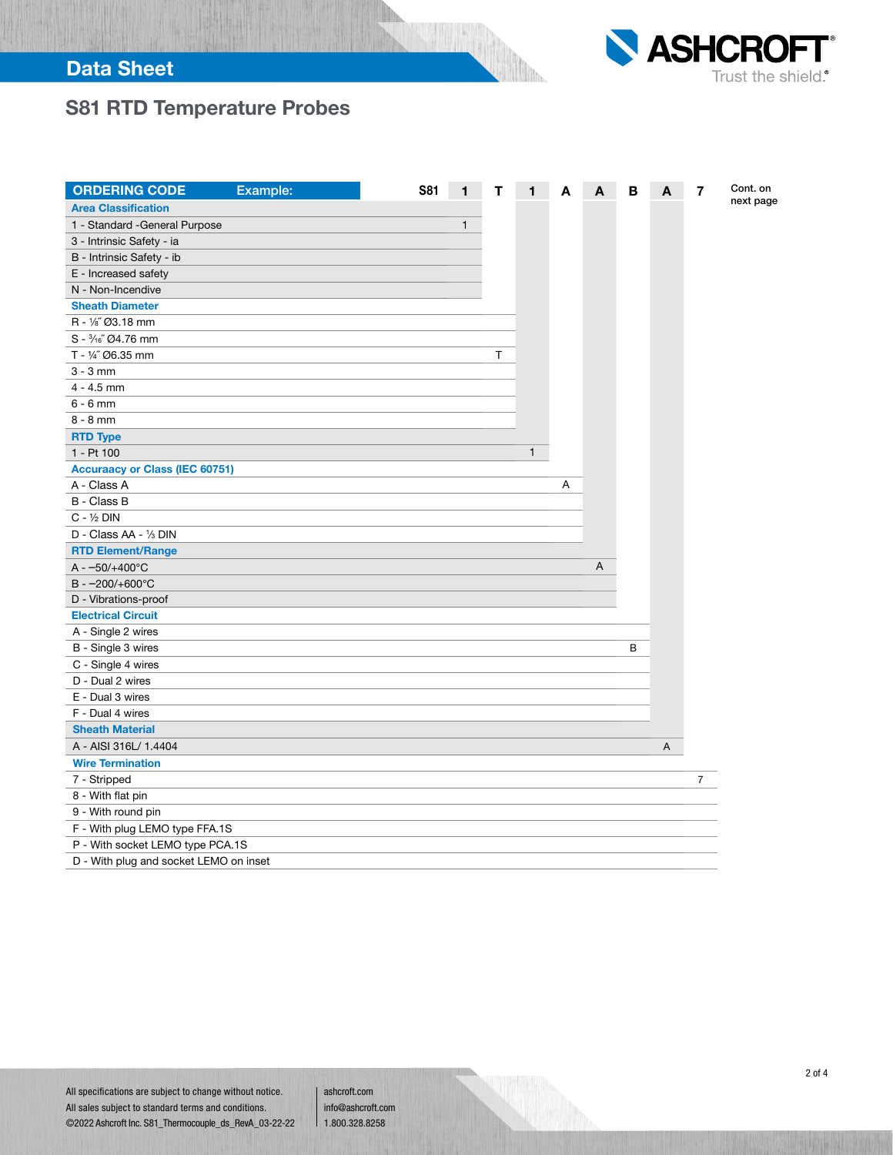## Data Sheet



# S81 RTD Temperature Probes

| <b>ORDERING CODE</b>                   | Example: | <b>S81</b> |              | т |              | A | A | в | A | 7              | Cont. on  |
|----------------------------------------|----------|------------|--------------|---|--------------|---|---|---|---|----------------|-----------|
| <b>Area Classification</b>             |          |            |              |   |              |   |   |   |   |                | next page |
| 1 - Standard - General Purpose         |          |            | $\mathbf{1}$ |   |              |   |   |   |   |                |           |
| 3 - Intrinsic Safety - ia              |          |            |              |   |              |   |   |   |   |                |           |
| B - Intrinsic Safety - ib              |          |            |              |   |              |   |   |   |   |                |           |
| E - Increased safety                   |          |            |              |   |              |   |   |   |   |                |           |
| N - Non-Incendive                      |          |            |              |   |              |   |   |   |   |                |           |
| <b>Sheath Diameter</b>                 |          |            |              |   |              |   |   |   |   |                |           |
| R - 1/8" Ø3.18 mm                      |          |            |              |   |              |   |   |   |   |                |           |
| $S - \frac{3}{16}$ " Ø4.76 mm          |          |            |              |   |              |   |   |   |   |                |           |
| T - 1/4" Ø6.35 mm                      |          |            |              | T |              |   |   |   |   |                |           |
| $3 - 3$ mm                             |          |            |              |   |              |   |   |   |   |                |           |
| $4 - 4.5$ mm                           |          |            |              |   |              |   |   |   |   |                |           |
| $6 - 6$ mm                             |          |            |              |   |              |   |   |   |   |                |           |
| $8 - 8$ mm                             |          |            |              |   |              |   |   |   |   |                |           |
| <b>RTD Type</b>                        |          |            |              |   |              |   |   |   |   |                |           |
| 1 - Pt 100                             |          |            |              |   | $\mathbf{1}$ |   |   |   |   |                |           |
| <b>Accuraacy or Class (IEC 60751)</b>  |          |            |              |   |              |   |   |   |   |                |           |
| A - Class A                            |          |            |              |   |              | Α |   |   |   |                |           |
| <b>B</b> - Class B                     |          |            |              |   |              |   |   |   |   |                |           |
| $C - \frac{1}{2}$ DIN                  |          |            |              |   |              |   |   |   |   |                |           |
| D - Class AA - 1/3 DIN                 |          |            |              |   |              |   |   |   |   |                |           |
| <b>RTD Element/Range</b>               |          |            |              |   |              |   |   |   |   |                |           |
| $A - 50/ + 400^{\circ}C$               |          |            |              |   |              |   | A |   |   |                |           |
| $B - -200/+600°C$                      |          |            |              |   |              |   |   |   |   |                |           |
| D - Vibrations-proof                   |          |            |              |   |              |   |   |   |   |                |           |
| <b>Electrical Circuit</b>              |          |            |              |   |              |   |   |   |   |                |           |
| A - Single 2 wires                     |          |            |              |   |              |   |   |   |   |                |           |
| B - Single 3 wires                     |          |            |              |   |              |   |   | в |   |                |           |
| C - Single 4 wires                     |          |            |              |   |              |   |   |   |   |                |           |
| D - Dual 2 wires                       |          |            |              |   |              |   |   |   |   |                |           |
| E - Dual 3 wires                       |          |            |              |   |              |   |   |   |   |                |           |
| F - Dual 4 wires                       |          |            |              |   |              |   |   |   |   |                |           |
| <b>Sheath Material</b>                 |          |            |              |   |              |   |   |   |   |                |           |
| A - AISI 316L/ 1.4404                  |          |            |              |   |              |   |   |   | A |                |           |
| <b>Wire Termination</b>                |          |            |              |   |              |   |   |   |   |                |           |
| 7 - Stripped                           |          |            |              |   |              |   |   |   |   | $\overline{7}$ |           |
| 8 - With flat pin                      |          |            |              |   |              |   |   |   |   |                |           |
| 9 - With round pin                     |          |            |              |   |              |   |   |   |   |                |           |
| F - With plug LEMO type FFA.1S         |          |            |              |   |              |   |   |   |   |                |           |
| P - With socket LEMO type PCA.1S       |          |            |              |   |              |   |   |   |   |                |           |
| D - With plug and socket LEMO on inset |          |            |              |   |              |   |   |   |   |                |           |

ashcroft.com info@ashcroft.com 1.800.328.8258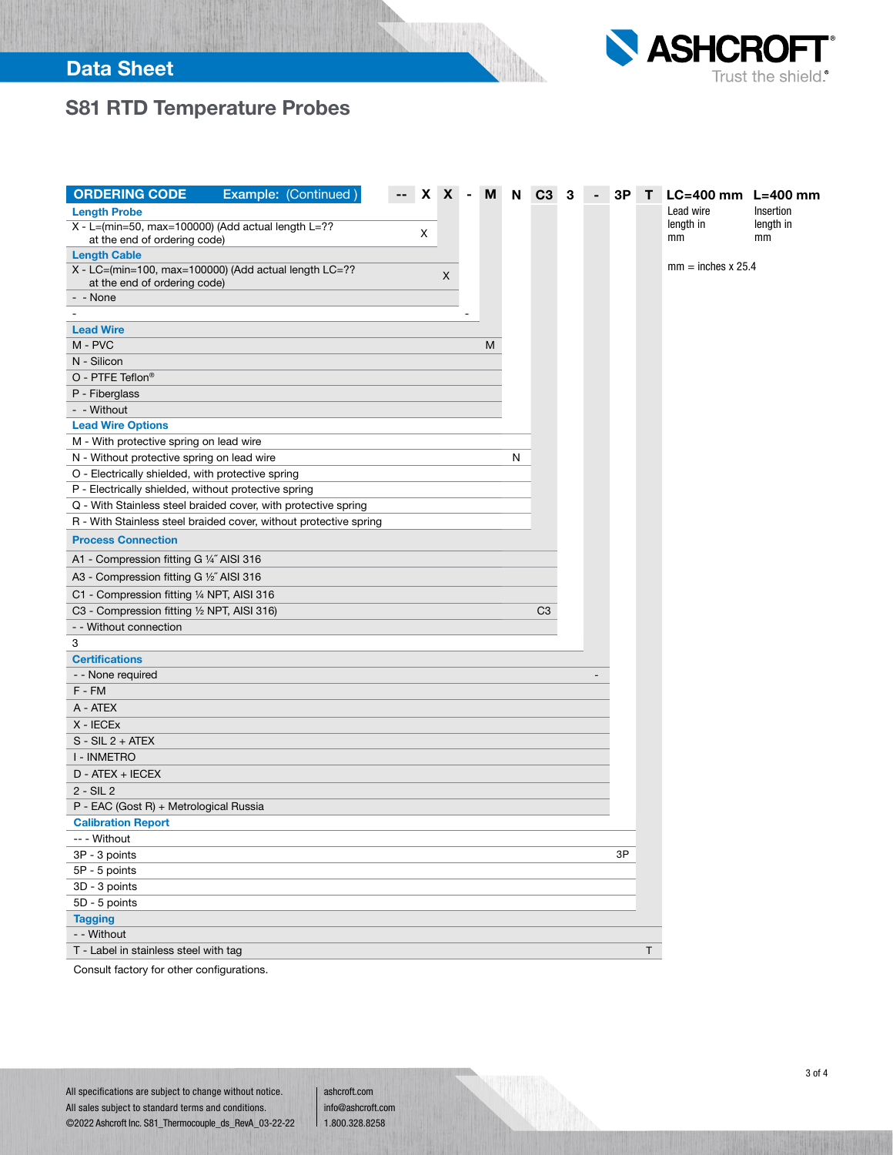# Data Sheet



# S81 RTD Temperature Probes

| <b>ORDERING CODE</b>                                              | Example: (Continued) |  | X. | X | M | N | C <sub>3</sub> | З | 3P | T. | LC=400 mm L=400 mm        |           |
|-------------------------------------------------------------------|----------------------|--|----|---|---|---|----------------|---|----|----|---------------------------|-----------|
| <b>Length Probe</b>                                               |                      |  |    |   |   |   |                |   |    |    | Lead wire                 | Insertion |
| X - L=(min=50, max=100000) (Add actual length L=??                |                      |  |    |   |   |   |                |   |    |    | length in                 | length in |
| at the end of ordering code)                                      |                      |  | X  |   |   |   |                |   |    |    | mm                        | mm        |
| <b>Length Cable</b>                                               |                      |  |    |   |   |   |                |   |    |    |                           |           |
| X - LC=(min=100, max=100000) (Add actual length LC=??             |                      |  |    | X |   |   |                |   |    |    | $mm = inches \times 25.4$ |           |
| at the end of ordering code)                                      |                      |  |    |   |   |   |                |   |    |    |                           |           |
| - - None                                                          |                      |  |    |   |   |   |                |   |    |    |                           |           |
| <b>Lead Wire</b>                                                  |                      |  |    |   |   |   |                |   |    |    |                           |           |
| M - PVC                                                           |                      |  |    |   | М |   |                |   |    |    |                           |           |
| N - Silicon                                                       |                      |  |    |   |   |   |                |   |    |    |                           |           |
| O - PTFE Teflon®                                                  |                      |  |    |   |   |   |                |   |    |    |                           |           |
| P - Fiberglass                                                    |                      |  |    |   |   |   |                |   |    |    |                           |           |
| - - Without                                                       |                      |  |    |   |   |   |                |   |    |    |                           |           |
| <b>Lead Wire Options</b>                                          |                      |  |    |   |   |   |                |   |    |    |                           |           |
| M - With protective spring on lead wire                           |                      |  |    |   |   |   |                |   |    |    |                           |           |
| N - Without protective spring on lead wire                        |                      |  |    |   |   | N |                |   |    |    |                           |           |
| O - Electrically shielded, with protective spring                 |                      |  |    |   |   |   |                |   |    |    |                           |           |
| P - Electrically shielded, without protective spring              |                      |  |    |   |   |   |                |   |    |    |                           |           |
| Q - With Stainless steel braided cover, with protective spring    |                      |  |    |   |   |   |                |   |    |    |                           |           |
| R - With Stainless steel braided cover, without protective spring |                      |  |    |   |   |   |                |   |    |    |                           |           |
| <b>Process Connection</b>                                         |                      |  |    |   |   |   |                |   |    |    |                           |           |
| A1 - Compression fitting G 1/4" AISI 316                          |                      |  |    |   |   |   |                |   |    |    |                           |           |
| A3 - Compression fitting G 1/2" AISI 316                          |                      |  |    |   |   |   |                |   |    |    |                           |           |
| C1 - Compression fitting 1/4 NPT, AISI 316                        |                      |  |    |   |   |   |                |   |    |    |                           |           |
| C3 - Compression fitting 1/2 NPT, AISI 316)                       |                      |  |    |   |   |   | C <sub>3</sub> |   |    |    |                           |           |
| - - Without connection                                            |                      |  |    |   |   |   |                |   |    |    |                           |           |
| 3                                                                 |                      |  |    |   |   |   |                |   |    |    |                           |           |
| <b>Certifications</b>                                             |                      |  |    |   |   |   |                |   |    |    |                           |           |
| - - None required                                                 |                      |  |    |   |   |   |                |   |    |    |                           |           |
| F-FM                                                              |                      |  |    |   |   |   |                |   |    |    |                           |           |
| A - ATEX                                                          |                      |  |    |   |   |   |                |   |    |    |                           |           |
| X - IECEX                                                         |                      |  |    |   |   |   |                |   |    |    |                           |           |
| $S - SIL 2 + ATEX$                                                |                      |  |    |   |   |   |                |   |    |    |                           |           |
| I - INMETRO                                                       |                      |  |    |   |   |   |                |   |    |    |                           |           |
| D - ATEX + IECEX                                                  |                      |  |    |   |   |   |                |   |    |    |                           |           |
| $2 - SIL2$                                                        |                      |  |    |   |   |   |                |   |    |    |                           |           |
| P - EAC (Gost R) + Metrological Russia                            |                      |  |    |   |   |   |                |   |    |    |                           |           |
| <b>Calibration Report</b>                                         |                      |  |    |   |   |   |                |   |    |    |                           |           |
| -- - Without                                                      |                      |  |    |   |   |   |                |   |    |    |                           |           |
| 3P - 3 points                                                     |                      |  |    |   |   |   |                |   | 3P |    |                           |           |
| 5P - 5 points                                                     |                      |  |    |   |   |   |                |   |    |    |                           |           |
| 3D - 3 points                                                     |                      |  |    |   |   |   |                |   |    |    |                           |           |
| 5D - 5 points                                                     |                      |  |    |   |   |   |                |   |    |    |                           |           |
| <b>Tagging</b>                                                    |                      |  |    |   |   |   |                |   |    |    |                           |           |
| - - Without                                                       |                      |  |    |   |   |   |                |   |    |    |                           |           |
| T - Label in stainless steel with tag                             |                      |  |    |   |   |   |                |   |    | T  |                           |           |

Consult factory for other configurations.

ashcroft.com info@ashcroft.com 1.800.328.8258